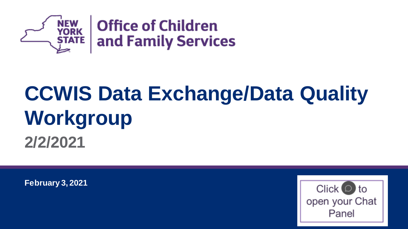

# **CCWIS Data Exchange/Data Quality Workgroup 2/2/2021**

**February 3, 2021**

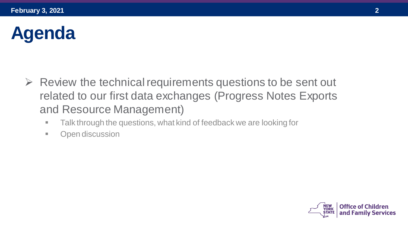## **Agenda**

- $\triangleright$  Review the technical requirements questions to be sent out related to our first data exchanges (Progress Notes Exports and Resource Management)
	- Talk through the questions, what kind of feedback we are looking for
	- Open discussion

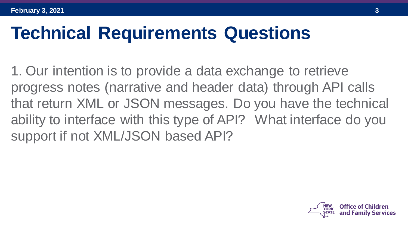#### **Technical Requirements Questions**

1. Our intention is to provide a data exchange to retrieve progress notes (narrative and header data) through API calls that return XML or JSON messages. Do you have the technical ability to interface with this type of API? What interface do you support if not XML/JSON based API?

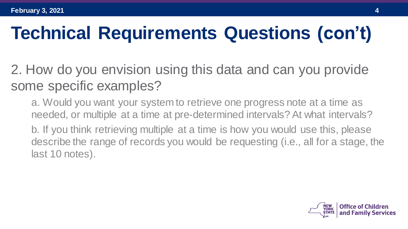2. How do you envision using this data and can you provide some specific examples?

a. Would you want your system to retrieve one progress note at a time as needed, or multiple at a time at pre-determined intervals? At what intervals?

b. If you think retrieving multiple at a time is how you would use this, please describe the range of records you would be requesting (i.e., all for a stage, the last 10 notes).

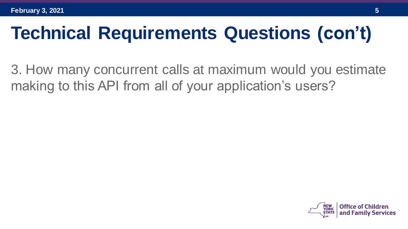3. How many concurrent calls at maximum would you estimate making to this API from all of your application's users?

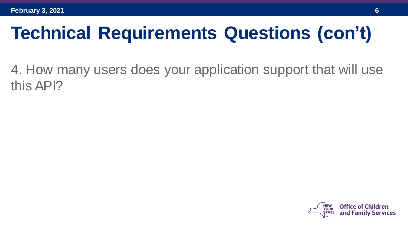4. How many users does your application support that will use this API?

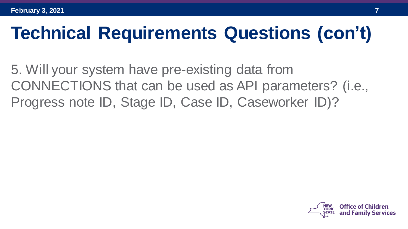5. Will your system have pre-existing data from CONNECTIONS that can be used as API parameters? (i.e., Progress note ID, Stage ID, Case ID, Caseworker ID)?

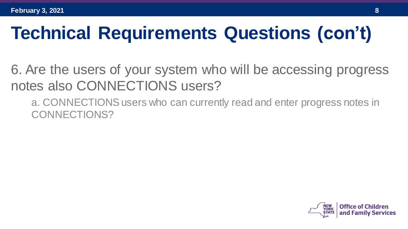6. Are the users of your system who will be accessing progress notes also CONNECTIONS users?

a. CONNECTIONS users who can currently read and enter progress notes in CONNECTIONS?

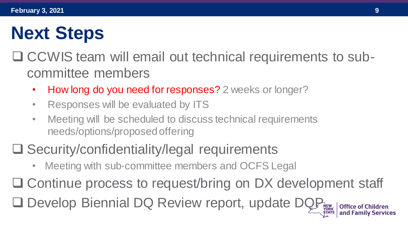## **Next Steps**

- ❑ CCWIS team will email out technical requirements to subcommittee members
	- How long do you need for responses? 2 weeks or longer?
	- Responses will be evaluated by ITS
	- Meeting will be scheduled to discuss technical requirements needs/options/proposed offering
- ❑ Security/confidentiality/legal requirements
	- Meeting with sub-committee members and OCFS Legal
- □ Continue process to request/bring on DX development staff □ Develop Biennial DQ Review report, update DOP